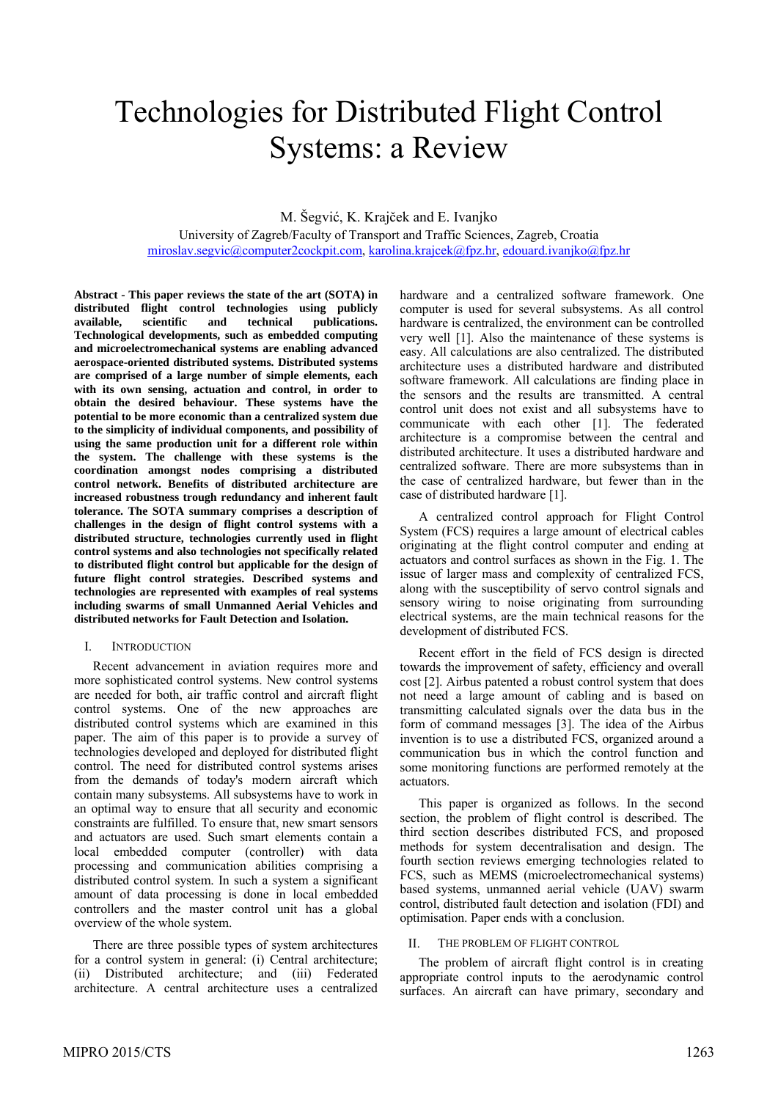# Technologies for Distributed Flight Control Systems: a Review

## M. Šegvić, K. Krajček and E. Ivanjko

University of Zagreb/Faculty of Transport and Traffic Sciences, Zagreb, Croatia miroslav.segvic@computer2cockpit.com, karolina.krajcek@fpz.hr, edouard.ivanjko@fpz.hr

**Abstract - This paper reviews the state of the art (SOTA) in distributed flight control technologies using publicly available, scientific and technical publications. Technological developments, such as embedded computing and microelectromechanical systems are enabling advanced aerospace-oriented distributed systems. Distributed systems are comprised of a large number of simple elements, each with its own sensing, actuation and control, in order to obtain the desired behaviour. These systems have the potential to be more economic than a centralized system due to the simplicity of individual components, and possibility of using the same production unit for a different role within the system. The challenge with these systems is the coordination amongst nodes comprising a distributed control network. Benefits of distributed architecture are increased robustness trough redundancy and inherent fault tolerance. The SOTA summary comprises a description of challenges in the design of flight control systems with a distributed structure, technologies currently used in flight control systems and also technologies not specifically related to distributed flight control but applicable for the design of future flight control strategies. Described systems and technologies are represented with examples of real systems including swarms of small Unmanned Aerial Vehicles and distributed networks for Fault Detection and Isolation.** 

#### I. INTRODUCTION

Recent advancement in aviation requires more and more sophisticated control systems. New control systems are needed for both, air traffic control and aircraft flight control systems. One of the new approaches are distributed control systems which are examined in this paper. The aim of this paper is to provide a survey of technologies developed and deployed for distributed flight control. The need for distributed control systems arises from the demands of today's modern aircraft which contain many subsystems. All subsystems have to work in an optimal way to ensure that all security and economic constraints are fulfilled. To ensure that, new smart sensors and actuators are used. Such smart elements contain a local embedded computer (controller) with data processing and communication abilities comprising a distributed control system. In such a system a significant amount of data processing is done in local embedded controllers and the master control unit has a global overview of the whole system.

There are three possible types of system architectures for a control system in general: (i) Central architecture; (ii) Distributed architecture; and (iii) Federated architecture. A central architecture uses a centralized hardware and a centralized software framework. One computer is used for several subsystems. As all control hardware is centralized, the environment can be controlled very well [1]. Also the maintenance of these systems is easy. All calculations are also centralized. The distributed architecture uses a distributed hardware and distributed software framework. All calculations are finding place in the sensors and the results are transmitted. A central control unit does not exist and all subsystems have to communicate with each other [1]. The federated architecture is a compromise between the central and distributed architecture. It uses a distributed hardware and centralized software. There are more subsystems than in the case of centralized hardware, but fewer than in the case of distributed hardware [1].

A centralized control approach for Flight Control System (FCS) requires a large amount of electrical cables originating at the flight control computer and ending at actuators and control surfaces as shown in the Fig. 1. The issue of larger mass and complexity of centralized FCS, along with the susceptibility of servo control signals and sensory wiring to noise originating from surrounding electrical systems, are the main technical reasons for the development of distributed FCS.

Recent effort in the field of FCS design is directed towards the improvement of safety, efficiency and overall cost [2]. Airbus patented a robust control system that does not need a large amount of cabling and is based on transmitting calculated signals over the data bus in the form of command messages [3]. The idea of the Airbus invention is to use a distributed FCS, organized around a communication bus in which the control function and some monitoring functions are performed remotely at the actuators.

This paper is organized as follows. In the second section, the problem of flight control is described. The third section describes distributed FCS, and proposed methods for system decentralisation and design. The fourth section reviews emerging technologies related to FCS, such as MEMS (microelectromechanical systems) based systems, unmanned aerial vehicle (UAV) swarm control, distributed fault detection and isolation (FDI) and optimisation. Paper ends with a conclusion.

#### II. THE PROBLEM OF FLIGHT CONTROL

The problem of aircraft flight control is in creating appropriate control inputs to the aerodynamic control surfaces. An aircraft can have primary, secondary and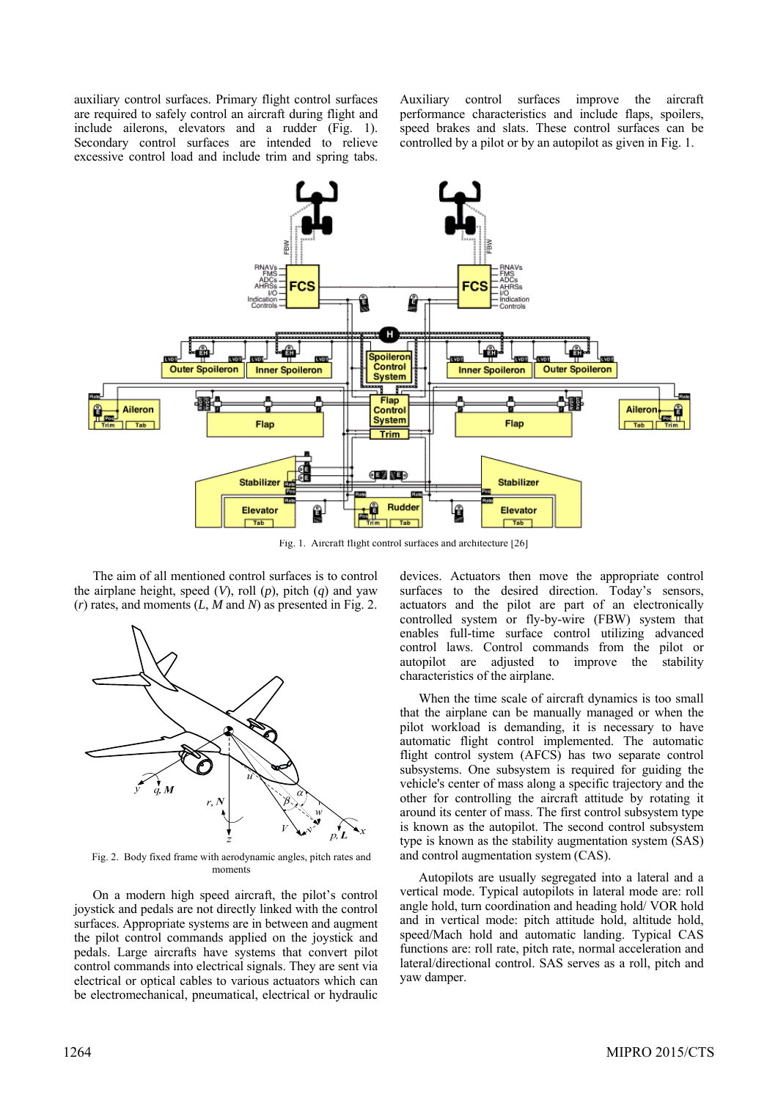auxiliary control surfaces. Primary flight control surfaces are required to safely control an aircraft during flight and include ailerons, elevators and a rudder (Fig. 1). Secondary control surfaces are intended to relieve excessive control load and include trim and spring tabs.

Auxiliary control surfaces improve the aircraft performance characteristics and include flaps, spoilers, speed brakes and slats. These control surfaces can be controlled by a pilot or by an autopilot as given in Fig. 1.



Fig. 1. Aircraft flight control surfaces and architecture [26]

The aim of all mentioned control surfaces is to control the airplane height, speed  $(V)$ , roll  $(p)$ , pitch  $(q)$  and yaw (*r*) rates, and moments (*L*, *M* and *N*) as presented in Fig. 2.



Fig. 2. Body fixed frame with aerodynamic angles, pitch rates and moments

On a modern high speed aircraft, the pilot's control joystick and pedals are not directly linked with the control surfaces. Appropriate systems are in between and augment the pilot control commands applied on the joystick and pedals. Large aircrafts have systems that convert pilot control commands into electrical signals. They are sent via electrical or optical cables to various actuators which can be electromechanical, pneumatical, electrical or hydraulic devices. Actuators then move the appropriate control surfaces to the desired direction. Today's sensors, actuators and the pilot are part of an electronically controlled system or fly-by-wire (FBW) system that enables full-time surface control utilizing advanced control laws. Control commands from the pilot or autopilot are adjusted to improve the stability characteristics of the airplane.

When the time scale of aircraft dynamics is too small that the airplane can be manually managed or when the pilot workload is demanding, it is necessary to have automatic flight control implemented. The automatic flight control system (AFCS) has two separate control subsystems. One subsystem is required for guiding the vehicle's center of mass along a specific trajectory and the other for controlling the aircraft attitude by rotating it around its center of mass. The first control subsystem type is known as the autopilot. The second control subsystem type is known as the stability augmentation system (SAS) and control augmentation system (CAS).

Autopilots are usually segregated into a lateral and a vertical mode. Typical autopilots in lateral mode are: roll angle hold, turn coordination and heading hold/ VOR hold and in vertical mode: pitch attitude hold, altitude hold, speed/Mach hold and automatic landing. Typical CAS functions are: roll rate, pitch rate, normal acceleration and lateral/directional control. SAS serves as a roll, pitch and yaw damper.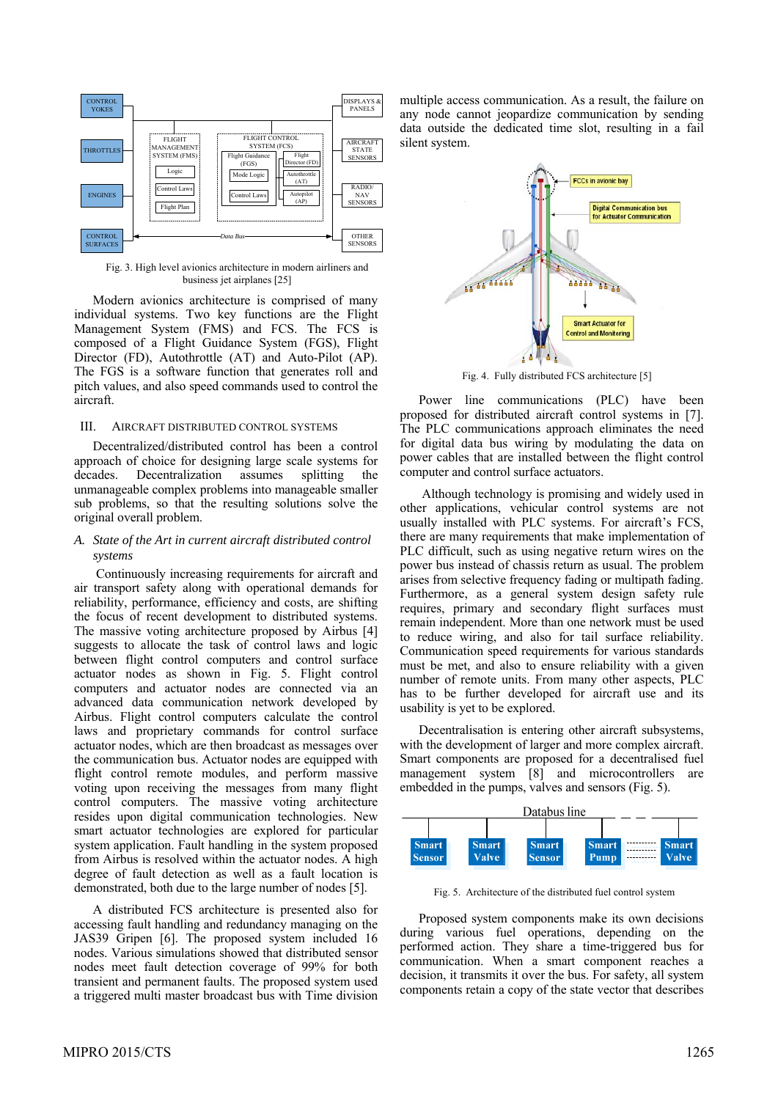

Fig. 3. High level avionics architecture in modern airliners and business jet airplanes [25]

Modern avionics architecture is comprised of many individual systems. Two key functions are the Flight Management System (FMS) and FCS. The FCS is composed of a Flight Guidance System (FGS), Flight Director (FD), Autothrottle (AT) and Auto-Pilot (AP). The FGS is a software function that generates roll and pitch values, and also speed commands used to control the aircraft.

#### III. AIRCRAFT DISTRIBUTED CONTROL SYSTEMS

Decentralized/distributed control has been a control approach of choice for designing large scale systems for decades. Decentralization assumes splitting the unmanageable complex problems into manageable smaller sub problems, so that the resulting solutions solve the original overall problem.

#### *A. State of the Art in current aircraft distributed control systems*

 Continuously increasing requirements for aircraft and air transport safety along with operational demands for reliability, performance, efficiency and costs, are shifting the focus of recent development to distributed systems. The massive voting architecture proposed by Airbus [4] suggests to allocate the task of control laws and logic between flight control computers and control surface actuator nodes as shown in Fig. 5. Flight control computers and actuator nodes are connected via an advanced data communication network developed by Airbus. Flight control computers calculate the control laws and proprietary commands for control surface actuator nodes, which are then broadcast as messages over the communication bus. Actuator nodes are equipped with flight control remote modules, and perform massive voting upon receiving the messages from many flight control computers. The massive voting architecture resides upon digital communication technologies. New smart actuator technologies are explored for particular system application. Fault handling in the system proposed from Airbus is resolved within the actuator nodes. A high degree of fault detection as well as a fault location is demonstrated, both due to the large number of nodes [5].

A distributed FCS architecture is presented also for accessing fault handling and redundancy managing on the JAS39 Gripen [6]. The proposed system included 16 nodes. Various simulations showed that distributed sensor nodes meet fault detection coverage of 99% for both transient and permanent faults. The proposed system used a triggered multi master broadcast bus with Time division multiple access communication. As a result, the failure on any node cannot jeopardize communication by sending data outside the dedicated time slot, resulting in a fail silent system.



Fig. 4. Fully distributed FCS architecture [5]

Power line communications (PLC) have been proposed for distributed aircraft control systems in [7]. The PLC communications approach eliminates the need for digital data bus wiring by modulating the data on power cables that are installed between the flight control computer and control surface actuators.

 Although technology is promising and widely used in other applications, vehicular control systems are not usually installed with PLC systems. For aircraft's FCS, there are many requirements that make implementation of PLC difficult, such as using negative return wires on the power bus instead of chassis return as usual. The problem arises from selective frequency fading or multipath fading. Furthermore, as a general system design safety rule requires, primary and secondary flight surfaces must remain independent. More than one network must be used to reduce wiring, and also for tail surface reliability. Communication speed requirements for various standards must be met, and also to ensure reliability with a given number of remote units. From many other aspects, PLC has to be further developed for aircraft use and its usability is yet to be explored.

Decentralisation is entering other aircraft subsystems, with the development of larger and more complex aircraft. Smart components are proposed for a decentralised fuel management system [8] and microcontrollers are embedded in the pumps, valves and sensors (Fig. 5).



Fig. 5. Architecture of the distributed fuel control system

Proposed system components make its own decisions during various fuel operations, depending on the performed action. They share a time-triggered bus for communication. When a smart component reaches a decision, it transmits it over the bus. For safety, all system components retain a copy of the state vector that describes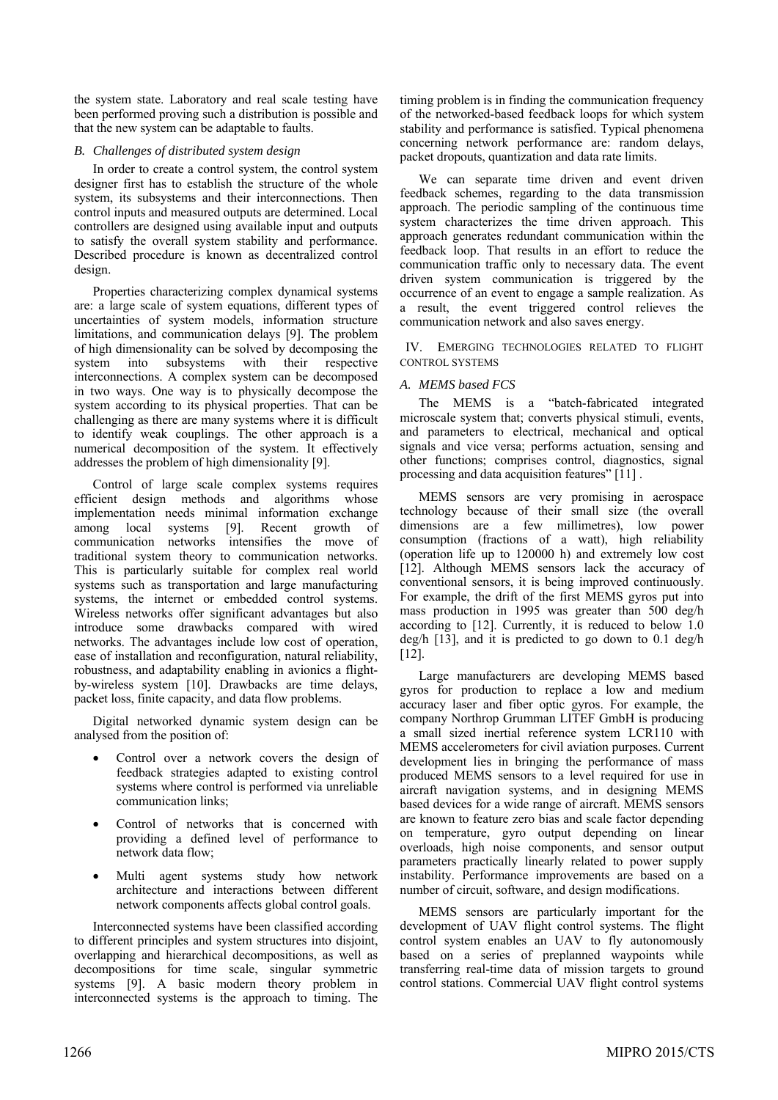the system state. Laboratory and real scale testing have been performed proving such a distribution is possible and that the new system can be adaptable to faults.

#### *B. Challenges of distributed system design*

In order to create a control system, the control system designer first has to establish the structure of the whole system, its subsystems and their interconnections. Then control inputs and measured outputs are determined. Local controllers are designed using available input and outputs to satisfy the overall system stability and performance. Described procedure is known as decentralized control design.

Properties characterizing complex dynamical systems are: a large scale of system equations, different types of uncertainties of system models, information structure limitations, and communication delays [9]. The problem of high dimensionality can be solved by decomposing the system into subsystems with their respective interconnections. A complex system can be decomposed in two ways. One way is to physically decompose the system according to its physical properties. That can be challenging as there are many systems where it is difficult to identify weak couplings. The other approach is a numerical decomposition of the system. It effectively addresses the problem of high dimensionality [9].

Control of large scale complex systems requires efficient design methods and algorithms whose implementation needs minimal information exchange among local systems [9]. Recent growth of communication networks intensifies the move of traditional system theory to communication networks. This is particularly suitable for complex real world systems such as transportation and large manufacturing systems, the internet or embedded control systems. Wireless networks offer significant advantages but also introduce some drawbacks compared with wired networks. The advantages include low cost of operation, ease of installation and reconfiguration, natural reliability, robustness, and adaptability enabling in avionics a flightby-wireless system [10]. Drawbacks are time delays, packet loss, finite capacity, and data flow problems.

Digital networked dynamic system design can be analysed from the position of:

- Control over a network covers the design of feedback strategies adapted to existing control systems where control is performed via unreliable communication links;
- Control of networks that is concerned with providing a defined level of performance to network data flow;
- Multi agent systems study how network architecture and interactions between different network components affects global control goals.

Interconnected systems have been classified according to different principles and system structures into disjoint, overlapping and hierarchical decompositions, as well as decompositions for time scale, singular symmetric systems [9]. A basic modern theory problem in interconnected systems is the approach to timing. The

timing problem is in finding the communication frequency of the networked-based feedback loops for which system stability and performance is satisfied. Typical phenomena concerning network performance are: random delays, packet dropouts, quantization and data rate limits.

We can separate time driven and event driven feedback schemes, regarding to the data transmission approach. The periodic sampling of the continuous time system characterizes the time driven approach. This approach generates redundant communication within the feedback loop. That results in an effort to reduce the communication traffic only to necessary data. The event driven system communication is triggered by the occurrence of an event to engage a sample realization. As a result, the event triggered control relieves the communication network and also saves energy.

IV. EMERGING TECHNOLOGIES RELATED TO FLIGHT CONTROL SYSTEMS

## *A. MEMS based FCS*

The MEMS is a "batch-fabricated integrated microscale system that; converts physical stimuli, events, and parameters to electrical, mechanical and optical signals and vice versa; performs actuation, sensing and other functions; comprises control, diagnostics, signal processing and data acquisition features" [11] .

MEMS sensors are very promising in aerospace technology because of their small size (the overall dimensions are a few millimetres), low power consumption (fractions of a watt), high reliability (operation life up to 120000 h) and extremely low cost [12]. Although MEMS sensors lack the accuracy of conventional sensors, it is being improved continuously. For example, the drift of the first MEMS gyros put into mass production in 1995 was greater than 500 deg/h according to [12]. Currently, it is reduced to below 1.0 deg/h [13], and it is predicted to go down to 0.1 deg/h [12].

Large manufacturers are developing MEMS based gyros for production to replace a low and medium accuracy laser and fiber optic gyros. For example, the company Northrop Grumman LITEF GmbH is producing a small sized inertial reference system LCR110 with MEMS accelerometers for civil aviation purposes. Current development lies in bringing the performance of mass produced MEMS sensors to a level required for use in aircraft navigation systems, and in designing MEMS based devices for a wide range of aircraft. MEMS sensors are known to feature zero bias and scale factor depending on temperature, gyro output depending on linear overloads, high noise components, and sensor output parameters practically linearly related to power supply instability. Performance improvements are based on a number of circuit, software, and design modifications.

MEMS sensors are particularly important for the development of UAV flight control systems. The flight control system enables an UAV to fly autonomously based on a series of preplanned waypoints while transferring real-time data of mission targets to ground control stations. Commercial UAV flight control systems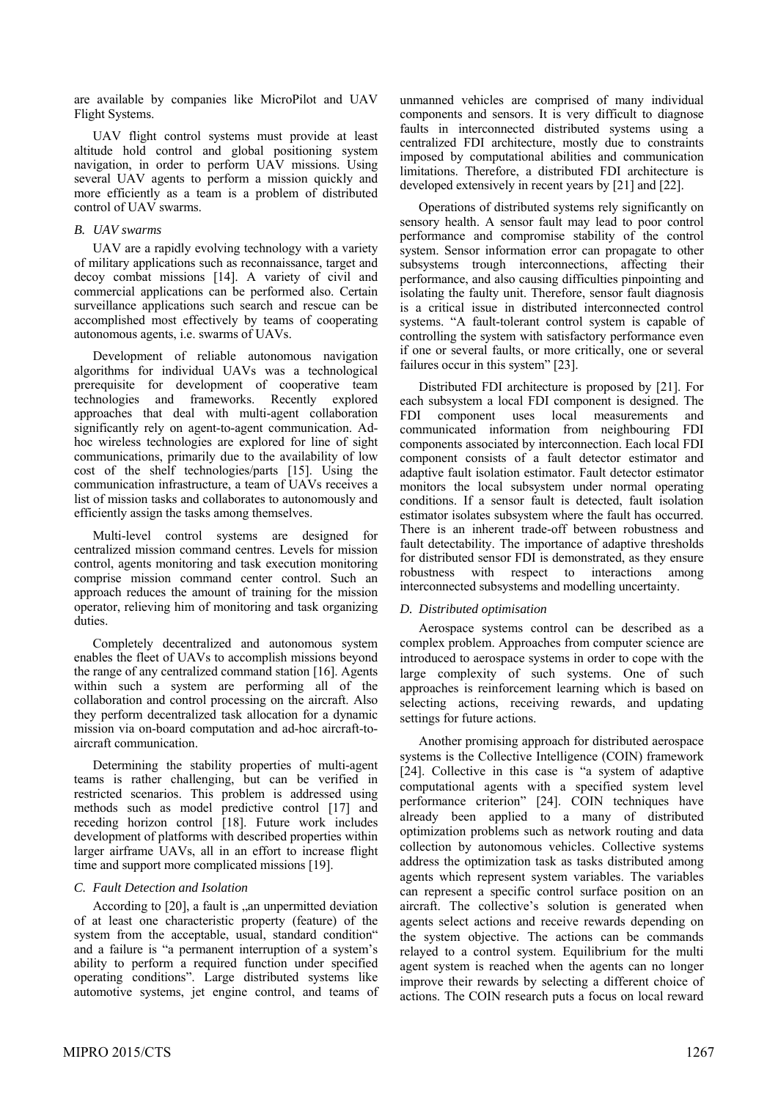are available by companies like MicroPilot and UAV Flight Systems.

UAV flight control systems must provide at least altitude hold control and global positioning system navigation, in order to perform UAV missions. Using several UAV agents to perform a mission quickly and more efficiently as a team is a problem of distributed control of UAV swarms.

## *B. UAV swarms*

UAV are a rapidly evolving technology with a variety of military applications such as reconnaissance, target and decoy combat missions [14]. A variety of civil and commercial applications can be performed also. Certain surveillance applications such search and rescue can be accomplished most effectively by teams of cooperating autonomous agents, i.e. swarms of UAVs.

Development of reliable autonomous navigation algorithms for individual UAVs was a technological prerequisite for development of cooperative team technologies and frameworks. Recently explored approaches that deal with multi-agent collaboration significantly rely on agent-to-agent communication. Adhoc wireless technologies are explored for line of sight communications, primarily due to the availability of low cost of the shelf technologies/parts [15]. Using the communication infrastructure, a team of UAVs receives a list of mission tasks and collaborates to autonomously and efficiently assign the tasks among themselves.

Multi-level control systems are designed for centralized mission command centres. Levels for mission control, agents monitoring and task execution monitoring comprise mission command center control. Such an approach reduces the amount of training for the mission operator, relieving him of monitoring and task organizing duties.

Completely decentralized and autonomous system enables the fleet of UAVs to accomplish missions beyond the range of any centralized command station [16]. Agents within such a system are performing all of the collaboration and control processing on the aircraft. Also they perform decentralized task allocation for a dynamic mission via on-board computation and ad-hoc aircraft-toaircraft communication.

Determining the stability properties of multi-agent teams is rather challenging, but can be verified in restricted scenarios. This problem is addressed using methods such as model predictive control [17] and receding horizon control [18]. Future work includes development of platforms with described properties within larger airframe UAVs, all in an effort to increase flight time and support more complicated missions [19].

## *C. Fault Detection and Isolation*

According to  $[20]$ , a fault is  $\alpha$ , an unpermitted deviation of at least one characteristic property (feature) of the system from the acceptable, usual, standard condition" and a failure is "a permanent interruption of a system's ability to perform a required function under specified operating conditions". Large distributed systems like automotive systems, jet engine control, and teams of unmanned vehicles are comprised of many individual components and sensors. It is very difficult to diagnose faults in interconnected distributed systems using a centralized FDI architecture, mostly due to constraints imposed by computational abilities and communication limitations. Therefore, a distributed FDI architecture is developed extensively in recent years by [21] and [22].

Operations of distributed systems rely significantly on sensory health. A sensor fault may lead to poor control performance and compromise stability of the control system. Sensor information error can propagate to other subsystems trough interconnections, affecting their performance, and also causing difficulties pinpointing and isolating the faulty unit. Therefore, sensor fault diagnosis is a critical issue in distributed interconnected control systems. "A fault-tolerant control system is capable of controlling the system with satisfactory performance even if one or several faults, or more critically, one or several failures occur in this system" [23].

Distributed FDI architecture is proposed by [21]. For each subsystem a local FDI component is designed. The FDI component uses local measurements and communicated information from neighbouring FDI components associated by interconnection. Each local FDI component consists of a fault detector estimator and adaptive fault isolation estimator. Fault detector estimator monitors the local subsystem under normal operating conditions. If a sensor fault is detected, fault isolation estimator isolates subsystem where the fault has occurred. There is an inherent trade-off between robustness and fault detectability. The importance of adaptive thresholds for distributed sensor FDI is demonstrated, as they ensure robustness with respect to interactions among interconnected subsystems and modelling uncertainty.

## *D. Distributed optimisation*

Aerospace systems control can be described as a complex problem. Approaches from computer science are introduced to aerospace systems in order to cope with the large complexity of such systems. One of such approaches is reinforcement learning which is based on selecting actions, receiving rewards, and updating settings for future actions.

Another promising approach for distributed aerospace systems is the Collective Intelligence (COIN) framework [24]. Collective in this case is "a system of adaptive computational agents with a specified system level performance criterion" [24]. COIN techniques have already been applied to a many of distributed optimization problems such as network routing and data collection by autonomous vehicles. Collective systems address the optimization task as tasks distributed among agents which represent system variables. The variables can represent a specific control surface position on an aircraft. The collective's solution is generated when agents select actions and receive rewards depending on the system objective. The actions can be commands relayed to a control system. Equilibrium for the multi agent system is reached when the agents can no longer improve their rewards by selecting a different choice of actions. The COIN research puts a focus on local reward